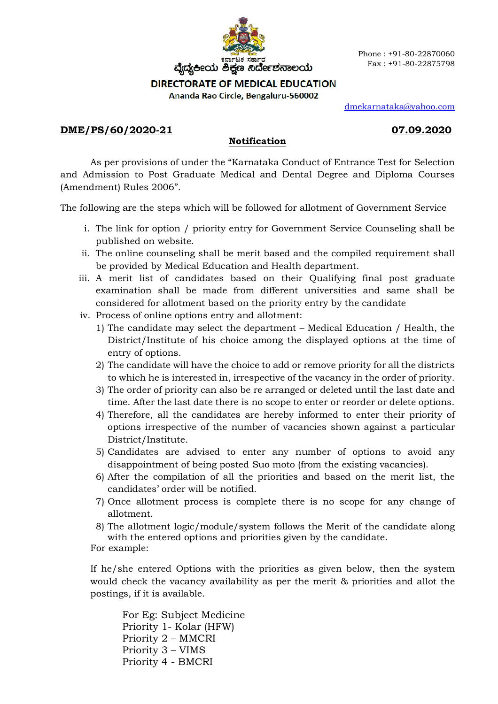

## **DIRECTORATE OF MEDICAL EDUCATION**

Ananda Rao Circle, Bengaluru-560002

dmekarnataka@yahoo.com

# **DME/PS/60/2020-21 07.09.2020**

## **Notification**

As per provisions of under the "Karnataka Conduct of Entrance Test for Selection and Admission to Post Graduate Medical and Dental Degree and Diploma Courses (Amendment) Rules 2006".

The following are the steps which will be followed for allotment of Government Service

- i. The link for option / priority entry for Government Service Counseling shall be published on website.
- ii. The online counseling shall be merit based and the compiled requirement shall be provided by Medical Education and Health department.
- iii. A merit list of candidates based on their Qualifying final post graduate examination shall be made from different universities and same shall be considered for allotment based on the priority entry by the candidate
- iv. Process of online options entry and allotment:
	- 1) The candidate may select the department Medical Education / Health, the District/Institute of his choice among the displayed options at the time of entry of options.
	- 2) The candidate will have the choice to add or remove priority for all the districts to which he is interested in, irrespective of the vacancy in the order of priority.
	- 3) The order of priority can also be re arranged or deleted until the last date and time. After the last date there is no scope to enter or reorder or delete options.
	- 4) Therefore, all the candidates are hereby informed to enter their priority of options irrespective of the number of vacancies shown against a particular District/Institute.
	- 5) Candidates are advised to enter any number of options to avoid any disappointment of being posted Suo moto (from the existing vacancies).
	- 6) After the compilation of all the priorities and based on the merit list, the candidates' order will be notified.
	- 7) Once allotment process is complete there is no scope for any change of allotment.
	- 8) The allotment logic/module/system follows the Merit of the candidate along with the entered options and priorities given by the candidate.

For example:

If he/she entered Options with the priorities as given below, then the system would check the vacancy availability as per the merit & priorities and allot the postings, if it is available.

For Eg: Subject Medicine Priority 1- Kolar (HFW) Priority 2 – MMCRI Priority 3 – VIMS Priority 4 - BMCRI